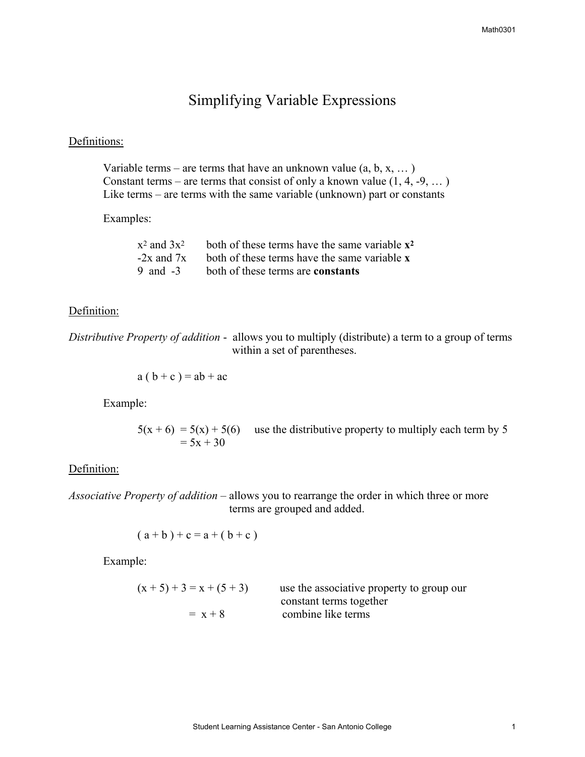# Simplifying Variable Expressions

## Definitions:

Variable terms – are terms that have an unknown value  $(a, b, x, \dots)$ Constant terms – are terms that consist of only a known value  $(1, 4, -9, ...)$ Like terms – are terms with the same variable (unknown) part or constants

#### Examples:

|            | $x^2$ and $3x^2$ both of these terms have the same variable $x^2$ |
|------------|-------------------------------------------------------------------|
|            | $-2x$ and $7x$ both of these terms have the same variable x       |
| 9 and $-3$ | both of these terms are <b>constants</b>                          |

### Definition:

*Distributive Property of addition* - allows you to multiply (distribute) a term to a group of terms within a set of parentheses.

$$
a (b + c) = ab + ac
$$

Example:

 $5(x + 6) = 5(x) + 5(6)$  use the distributive property to multiply each term by 5  $= 5x + 30$ 

### Definition:

*Associative Property of addition* – allows you to rearrange the order in which three or more terms are grouped and added.

$$
(a + b) + c = a + (b + c)
$$

Example:

| $(x + 5) + 3 = x + (5 + 3)$ | use the associative property to group our |
|-----------------------------|-------------------------------------------|
|                             | constant terms together                   |
| $= x + 8$                   | combine like terms                        |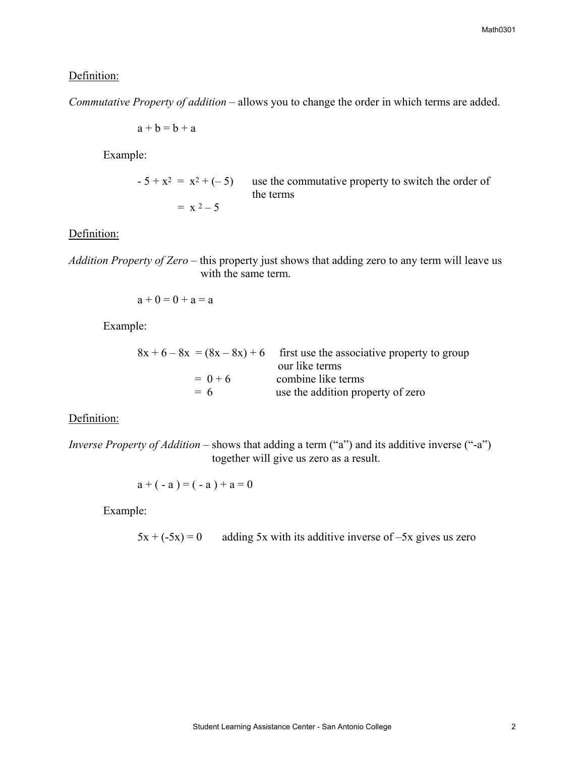## Definition:

*Commutative Property of addition* – allows you to change the order in which terms are added.

$$
a+b=b+a
$$

Example:

$$
-5 + x^2 = x^2 + (-5)
$$
 use the commutative property to switch the order of the terms  
=  $x^2 - 5$ 

#### Definition:

*Addition Property of Zero* – this property just shows that adding zero to any term will leave us with the same term.

$$
a+0=0+a=a
$$

Example:

|           | $8x + 6 - 8x = (8x - 8x) + 6$ first use the associative property to group<br>our like terms |
|-----------|---------------------------------------------------------------------------------------------|
| $= 0 + 6$ | combine like terms                                                                          |
| $= 6$     | use the addition property of zero                                                           |

## Definition:

*Inverse Property of Addition* – shows that adding a term ("a") and its additive inverse ("-a") together will give us zero as a result.

$$
a + (-a) = (-a) + a = 0
$$

Example:

 $5x + (-5x) = 0$  adding 5x with its additive inverse of  $-5x$  gives us zero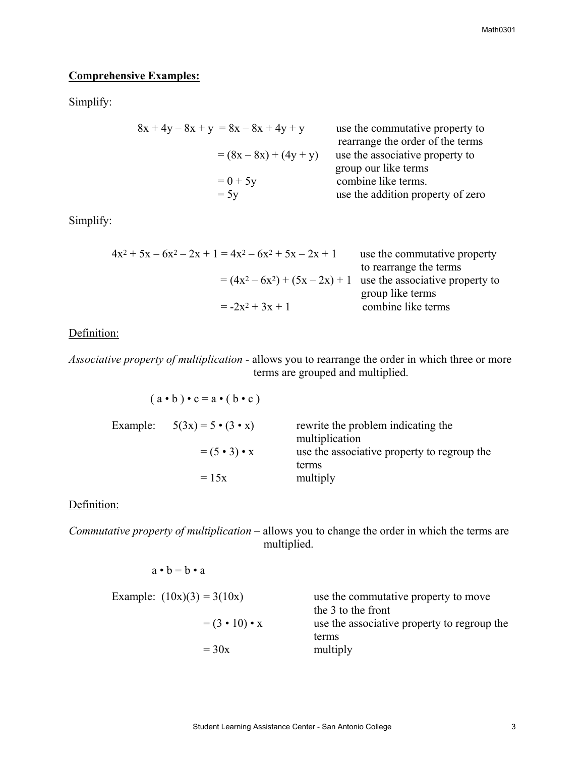## **Comprehensive Examples:**

Simplify:

$$
8x + 4y - 8x + y = 8x - 8x + 4y + y
$$
use the commutative property to  
rearrange the order of the terms  

$$
= (8x - 8x) + (4y + y)
$$
use the associative property to  
group our like terms  

$$
= 0 + 5y
$$
combine like terms.  

$$
= 5y
$$
use the addition property of zero

Simplify:

$$
4x2 + 5x - 6x2 - 2x + 1 = 4x2 - 6x2 + 5x - 2x + 1
$$
use the commutative property  
to rearrange the terms  

$$
= (4x2 - 6x2) + (5x - 2x) + 1
$$
use the associative property to  
group like terms  

$$
= -2x2 + 3x + 1
$$
combine like terms

Definition:

*Associative property of multiplication* - allows you to rearrange the order in which three or more terms are grouped and multiplied.

| $(a \cdot b) \cdot c = a \cdot (b \cdot c)$ |                                                      |
|---------------------------------------------|------------------------------------------------------|
| Example: $5(3x) = 5 \cdot (3 \cdot x)$      | rewrite the problem indicating the<br>multiplication |
| $= (5 \cdot 3) \cdot x$                     | use the associative property to regroup the<br>terms |
| $= 15x$                                     | multiply                                             |

## Definition:

 $a \cdot b = b \cdot a$ 

*Commutative property of multiplication* – allows you to change the order in which the terms are multiplied.

Example: 
$$
(10x)(3) = 3(10x)
$$
 use the commutative property to move  
the 3 to the front  
use the associative property to regroup the  
terms  
= 30x multiply